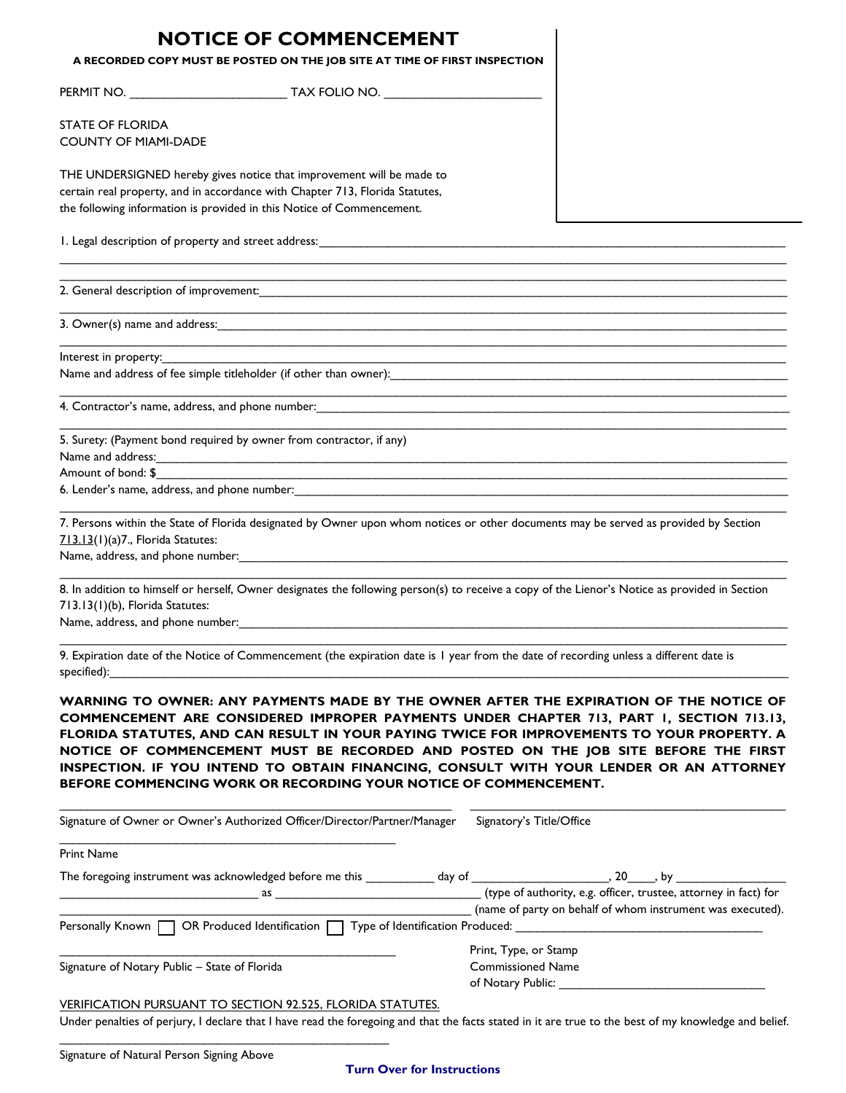|                                                                                                                                                                                                                               | <b>NOTICE OF COMMENCEMENT</b><br>A RECORDED COPY MUST BE POSTED ON THE JOB SITE AT TIME OF FIRST INSPECTION                                                                                                                                                                                                                                                                                                                                                       |  |
|-------------------------------------------------------------------------------------------------------------------------------------------------------------------------------------------------------------------------------|-------------------------------------------------------------------------------------------------------------------------------------------------------------------------------------------------------------------------------------------------------------------------------------------------------------------------------------------------------------------------------------------------------------------------------------------------------------------|--|
|                                                                                                                                                                                                                               |                                                                                                                                                                                                                                                                                                                                                                                                                                                                   |  |
| <b>STATE OF FLORIDA</b><br><b>COUNTY OF MIAMI-DADE</b>                                                                                                                                                                        |                                                                                                                                                                                                                                                                                                                                                                                                                                                                   |  |
| THE UNDERSIGNED hereby gives notice that improvement will be made to<br>certain real property, and in accordance with Chapter 713, Florida Statutes,<br>the following information is provided in this Notice of Commencement. |                                                                                                                                                                                                                                                                                                                                                                                                                                                                   |  |
|                                                                                                                                                                                                                               |                                                                                                                                                                                                                                                                                                                                                                                                                                                                   |  |
|                                                                                                                                                                                                                               |                                                                                                                                                                                                                                                                                                                                                                                                                                                                   |  |
|                                                                                                                                                                                                                               |                                                                                                                                                                                                                                                                                                                                                                                                                                                                   |  |
|                                                                                                                                                                                                                               |                                                                                                                                                                                                                                                                                                                                                                                                                                                                   |  |
|                                                                                                                                                                                                                               |                                                                                                                                                                                                                                                                                                                                                                                                                                                                   |  |
| 5. Surety: (Payment bond required by owner from contractor, if any)                                                                                                                                                           | Name and address: 1988 and address: 1988 and 2008 and 2008 and 2008 and 2008 and 2008 and 2008 and 2008 and 2008 and 2008 and 2008 and 2008 and 2008 and 2008 and 2008 and 2008 and 2008 and 2008 and 2008 and 2008 and 2008 a                                                                                                                                                                                                                                    |  |
| Amount of bond: \$                                                                                                                                                                                                            | <u> 1989 - Jan James James James James James James James James James James James James James James James James J</u>                                                                                                                                                                                                                                                                                                                                              |  |
| 713.13(1)(a)7., Florida Statutes:                                                                                                                                                                                             | 7. Persons within the State of Florida designated by Owner upon whom notices or other documents may be served as provided by Section                                                                                                                                                                                                                                                                                                                              |  |
| 713.13(1)(b), Florida Statutes:<br>Name, address, and phone number:                                                                                                                                                           | 8. In addition to himself or herself, Owner designates the following person(s) to receive a copy of the Lienor's Notice as provided in Section                                                                                                                                                                                                                                                                                                                    |  |
| specified):                                                                                                                                                                                                                   | 9. Expiration date of the Notice of Commencement (the expiration date is I year from the date of recording unless a different date is                                                                                                                                                                                                                                                                                                                             |  |
|                                                                                                                                                                                                                               | WARNING TO OWNER: ANY PAYMENTS MADE BY THE OWNER AFTER THE EXPIRATION OF THE NOTICE OF<br>COMMENCEMENT ARE CONSIDERED IMPROPER PAYMENTS UNDER CHAPTER 713, PART I, SECTION 713.13,<br>FLORIDA STATUTES, AND CAN RESULT IN YOUR PAYING TWICE FOR IMPROVEMENTS TO YOUR PROPERTY. A<br>NOTICE OF COMMENCEMENT MUST BE RECORDED AND POSTED ON THE JOB SITE BEFORE THE FIRST<br>INSPECTION. IF YOU INTEND TO OBTAIN FINANCING, CONSULT WITH YOUR LENDER OR AN ATTORNEY |  |

| Signature of Owner or Owner's Authorized Officer/Director/Partner/Manager        | Signatory's Title/Office                                         |  |
|----------------------------------------------------------------------------------|------------------------------------------------------------------|--|
| <b>Print Name</b>                                                                |                                                                  |  |
|                                                                                  |                                                                  |  |
| as                                                                               | (type of authority, e.g. officer, trustee, attorney in fact) for |  |
|                                                                                  | (name of party on behalf of whom instrument was executed).       |  |
| Personally Known   OR Produced Identification   Type of Identification Produced: |                                                                  |  |
|                                                                                  | Print, Type, or Stamp                                            |  |
| Signature of Notary Public - State of Florida                                    | <b>Commissioned Name</b>                                         |  |
|                                                                                  | of Notary Public:                                                |  |
| <b>VERIFICATION PURSUANT TO SECTION 92.525. FLORIDA STATUTES.</b>                |                                                                  |  |

**BEFORE COMMENCING WORK OR RECORDING YOUR NOTICE OF COMMENCEMENT.** 

Under penalties of perjury, I declare that I have read the foregoing and that the facts stated in it are true to the best of my knowledge and belief.

 $\mathcal{L}_\text{max}$  , and the set of the set of the set of the set of the set of the set of the set of the set of the set of the set of the set of the set of the set of the set of the set of the set of the set of the set of the